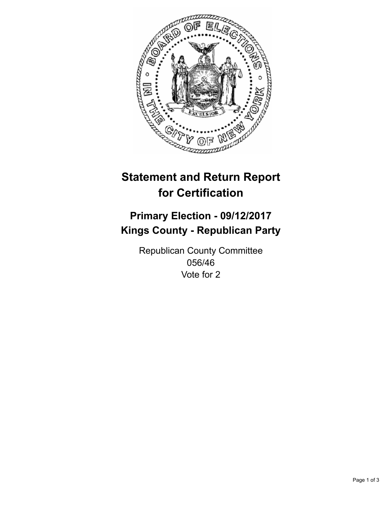

## **Statement and Return Report for Certification**

## **Primary Election - 09/12/2017 Kings County - Republican Party**

Republican County Committee 056/46 Vote for 2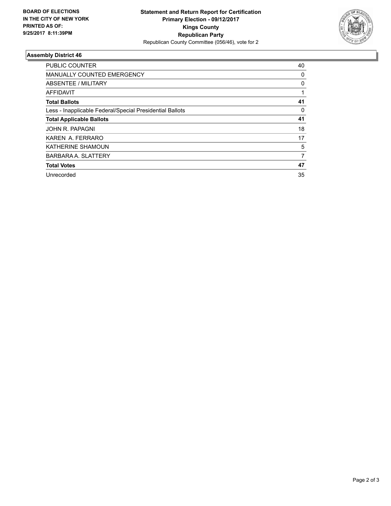

## **Assembly District 46**

| <b>PUBLIC COUNTER</b>                                    | 40 |
|----------------------------------------------------------|----|
| <b>MANUALLY COUNTED EMERGENCY</b>                        | 0  |
| ABSENTEE / MILITARY                                      | 0  |
| AFFIDAVIT                                                |    |
| <b>Total Ballots</b>                                     | 41 |
| Less - Inapplicable Federal/Special Presidential Ballots | 0  |
| <b>Total Applicable Ballots</b>                          | 41 |
| JOHN R. PAPAGNI                                          | 18 |
| KAREN A. FERRARO                                         | 17 |
| KATHERINE SHAMOUN                                        | 5  |
| <b>BARBARA A. SLATTERY</b>                               | 7  |
| <b>Total Votes</b>                                       | 47 |
| Unrecorded                                               | 35 |